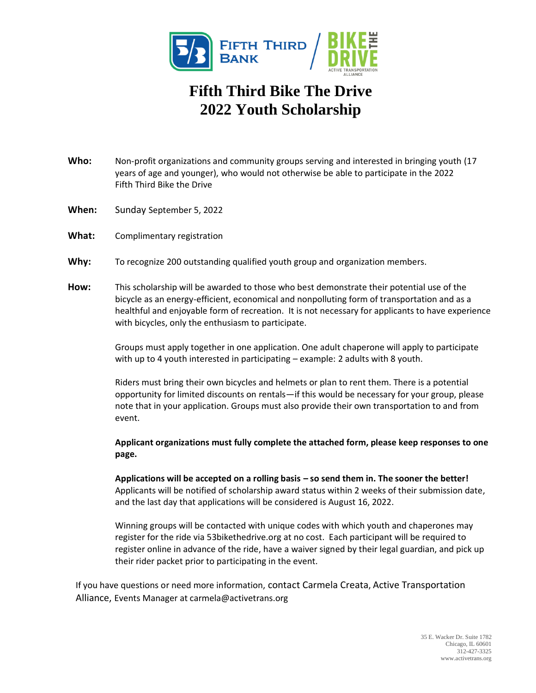

## **Fifth Third Bike The Drive 2022 Youth Scholarship**

- **Who:** Non-profit organizations and community groups serving and interested in bringing youth (17 years of age and younger), who would not otherwise be able to participate in the 2022 Fifth Third Bike the Drive
- **When:** Sunday September 5, 2022
- What: Complimentary registration
- **Why:** To recognize 200 outstanding qualified youth group and organization members.
- **How:** This scholarship will be awarded to those who best demonstrate their potential use of the bicycle as an energy-efficient, economical and nonpolluting form of transportation and as a healthful and enjoyable form of recreation. It is not necessary for applicants to have experience with bicycles, only the enthusiasm to participate.

Groups must apply together in one application. One adult chaperone will apply to participate with up to 4 youth interested in participating – example: 2 adults with 8 youth.

Riders must bring their own bicycles and helmets or plan to rent them. There is a potential opportunity for limited discounts on rentals—if this would be necessary for your group, please note that in your application. Groups must also provide their own transportation to and from event.

**Applicant organizations must fully complete the attached form, please keep responses to one page.** 

**Applications will be accepted on a rolling basis – so send them in. The sooner the better!** Applicants will be notified of scholarship award status within 2 weeks of their submission date, and the last day that applications will be considered is August 16, 2022.

Winning groups will be contacted with unique codes with which youth and chaperones may register for the ride via 53bikethedrive.org at no cost. Each participant will be required to register online in advance of the ride, have a waiver signed by their legal guardian, and pick up their rider packet prior to participating in the event.

If you have questions or need more information, contact Carmela Creata, Active Transportation Alliance, Events Manager at carmela@activetrans.org